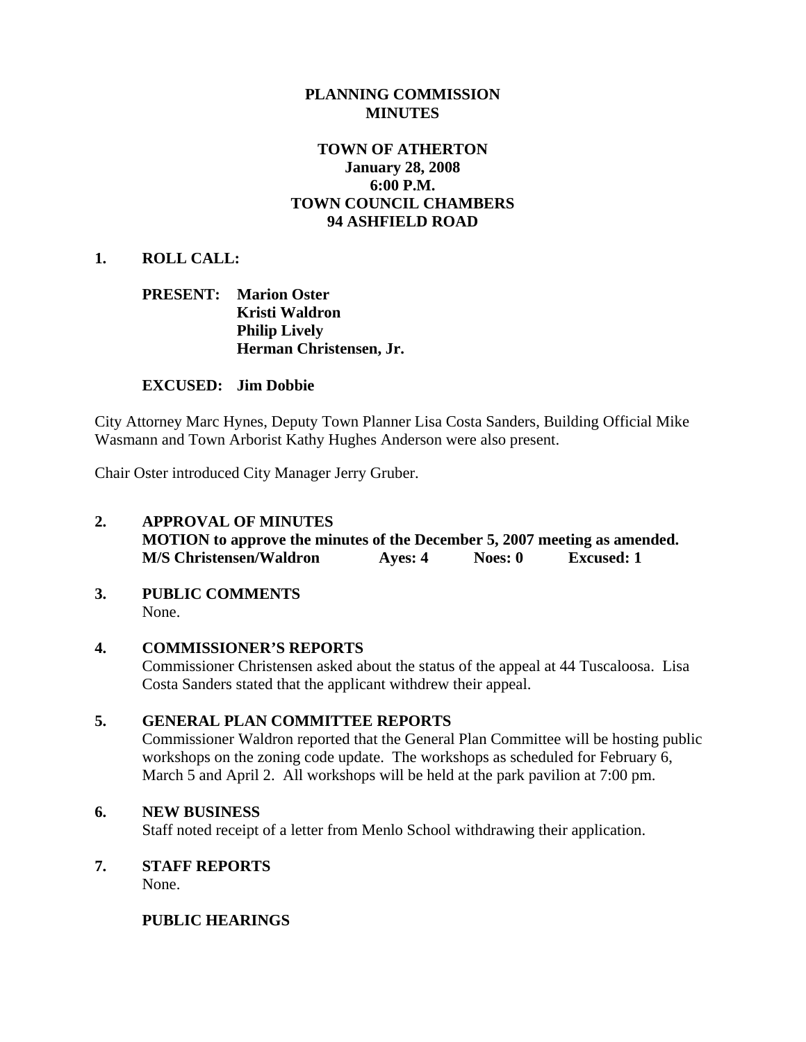## **PLANNING COMMISSION MINUTES**

## **TOWN OF ATHERTON January 28, 2008 6:00 P.M. TOWN COUNCIL CHAMBERS 94 ASHFIELD ROAD**

## **1. ROLL CALL:**

## **PRESENT: Marion Oster Kristi Waldron Philip Lively Herman Christensen, Jr.**

### **EXCUSED: Jim Dobbie**

City Attorney Marc Hynes, Deputy Town Planner Lisa Costa Sanders, Building Official Mike Wasmann and Town Arborist Kathy Hughes Anderson were also present.

Chair Oster introduced City Manager Jerry Gruber.

# **2. APPROVAL OF MINUTES MOTION to approve the minutes of the December 5, 2007 meeting as amended. M/S Christensen/Waldron Ayes: 4 Noes: 0 Excused: 1**

#### **3. PUBLIC COMMENTS**  None.

### **4. COMMISSIONER'S REPORTS**

Commissioner Christensen asked about the status of the appeal at 44 Tuscaloosa. Lisa Costa Sanders stated that the applicant withdrew their appeal.

### **5. GENERAL PLAN COMMITTEE REPORTS**

Commissioner Waldron reported that the General Plan Committee will be hosting public workshops on the zoning code update. The workshops as scheduled for February 6, March 5 and April 2. All workshops will be held at the park pavilion at 7:00 pm.

### **6. NEW BUSINESS**

Staff noted receipt of a letter from Menlo School withdrawing their application.

### **7. STAFF REPORTS**

None.

### **PUBLIC HEARINGS**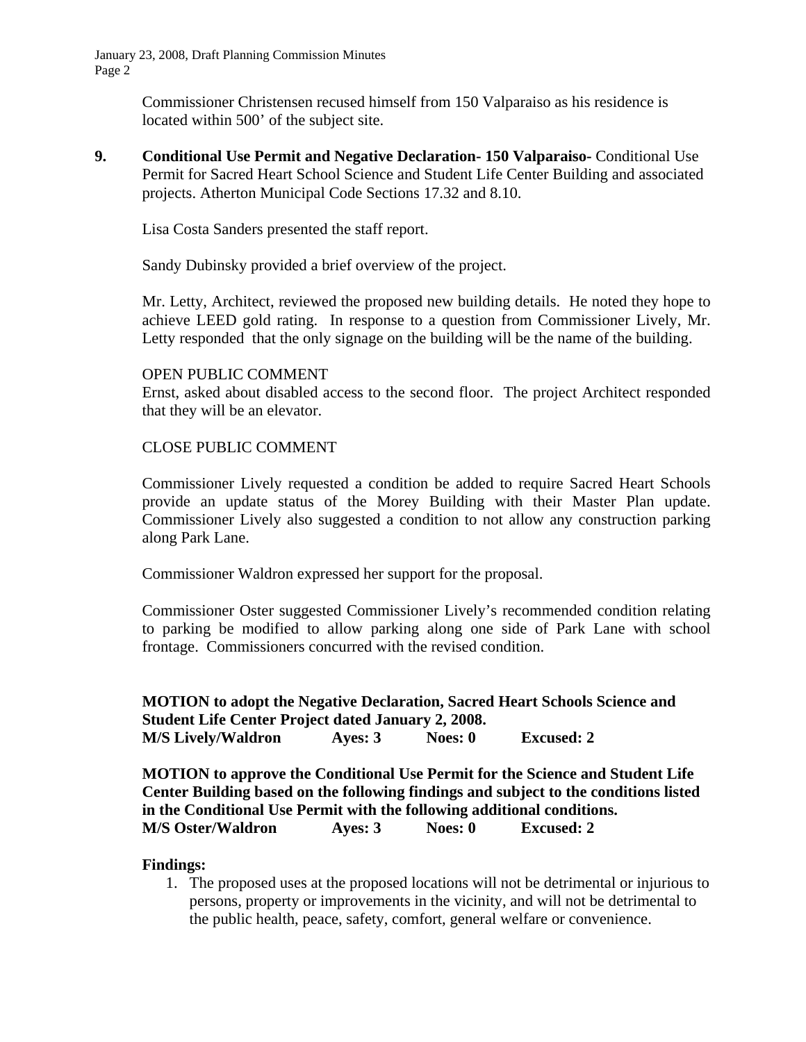January 23, 2008, Draft Planning Commission Minutes Page 2

> Commissioner Christensen recused himself from 150 Valparaiso as his residence is located within 500' of the subject site.

**9. Conditional Use Permit and Negative Declaration- 150 Valparaiso-** Conditional Use Permit for Sacred Heart School Science and Student Life Center Building and associated projects. Atherton Municipal Code Sections 17.32 and 8.10.

Lisa Costa Sanders presented the staff report.

Sandy Dubinsky provided a brief overview of the project.

Mr. Letty, Architect, reviewed the proposed new building details. He noted they hope to achieve LEED gold rating. In response to a question from Commissioner Lively, Mr. Letty responded that the only signage on the building will be the name of the building.

#### OPEN PUBLIC COMMENT

Ernst, asked about disabled access to the second floor. The project Architect responded that they will be an elevator.

## CLOSE PUBLIC COMMENT

Commissioner Lively requested a condition be added to require Sacred Heart Schools provide an update status of the Morey Building with their Master Plan update. Commissioner Lively also suggested a condition to not allow any construction parking along Park Lane.

Commissioner Waldron expressed her support for the proposal.

Commissioner Oster suggested Commissioner Lively's recommended condition relating to parking be modified to allow parking along one side of Park Lane with school frontage. Commissioners concurred with the revised condition.

# **MOTION to adopt the Negative Declaration, Sacred Heart Schools Science and Student Life Center Project dated January 2, 2008. M/S Lively/Waldron Ayes: 3 Noes: 0 Excused: 2**

**MOTION to approve the Conditional Use Permit for the Science and Student Life Center Building based on the following findings and subject to the conditions listed in the Conditional Use Permit with the following additional conditions. M/S Oster/Waldron Ayes: 3 Noes: 0 Excused: 2** 

### **Findings:**

1. The proposed uses at the proposed locations will not be detrimental or injurious to persons, property or improvements in the vicinity, and will not be detrimental to the public health, peace, safety, comfort, general welfare or convenience.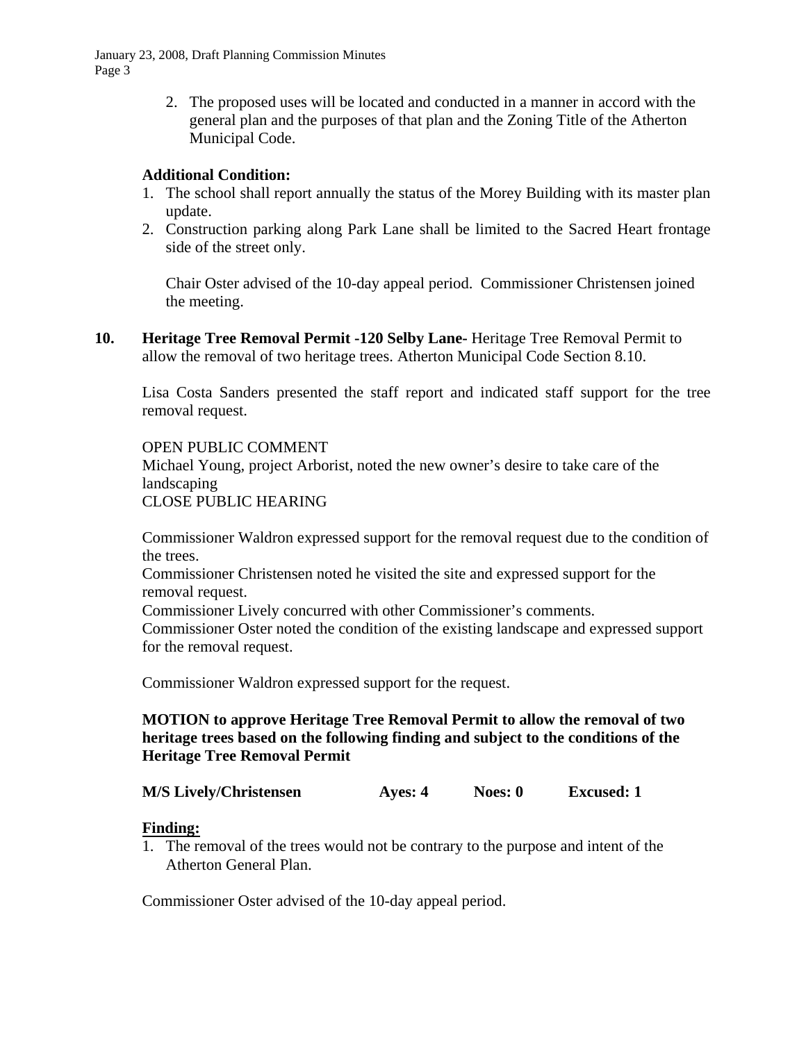January 23, 2008, Draft Planning Commission Minutes Page 3

> 2. The proposed uses will be located and conducted in a manner in accord with the general plan and the purposes of that plan and the Zoning Title of the Atherton Municipal Code.

## **Additional Condition:**

- 1. The school shall report annually the status of the Morey Building with its master plan update.
- 2. Construction parking along Park Lane shall be limited to the Sacred Heart frontage side of the street only.

Chair Oster advised of the 10-day appeal period. Commissioner Christensen joined the meeting.

**10. Heritage Tree Removal Permit -120 Selby Lane-** Heritage Tree Removal Permit to allow the removal of two heritage trees. Atherton Municipal Code Section 8.10.

Lisa Costa Sanders presented the staff report and indicated staff support for the tree removal request.

### OPEN PUBLIC COMMENT

Michael Young, project Arborist, noted the new owner's desire to take care of the landscaping

CLOSE PUBLIC HEARING

Commissioner Waldron expressed support for the removal request due to the condition of the trees.

Commissioner Christensen noted he visited the site and expressed support for the removal request.

Commissioner Lively concurred with other Commissioner's comments.

Commissioner Oster noted the condition of the existing landscape and expressed support for the removal request.

Commissioner Waldron expressed support for the request.

## **MOTION to approve Heritage Tree Removal Permit to allow the removal of two heritage trees based on the following finding and subject to the conditions of the Heritage Tree Removal Permit**

## M/S Lively/Christensen **Ayes: 4** Noes: 0 Excused: 1

### **Finding:**

1. The removal of the trees would not be contrary to the purpose and intent of the Atherton General Plan.

Commissioner Oster advised of the 10-day appeal period.